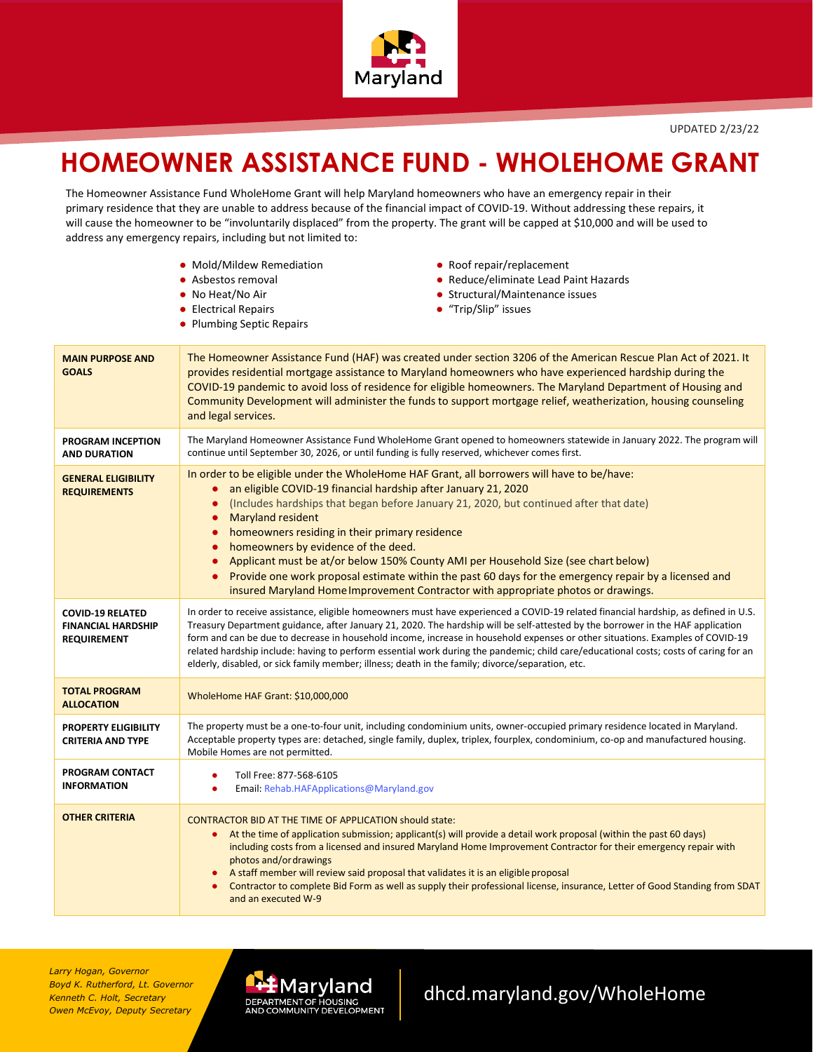

## **HOMEOWNER ASSISTANCE FUND - WHOLEHOME GRANT**

The Homeowner Assistance Fund WholeHome Grant will help Maryland homeowners who have an emergency repair in their primary residence that they are unable to address because of the financial impact of COVID-19. Without addressing these repairs, it will cause the homeowner to be "involuntarily displaced" from the property. The grant will be capped at \$10,000 and will be used to address any emergency repairs, including but not limited to:

|                                                                            | • Mold/Mildew Remediation<br>• Roof repair/replacement<br>• Reduce/eliminate Lead Paint Hazards<br>• Asbestos removal<br>• No Heat/No Air<br>• Structural/Maintenance issues<br>• "Trip/Slip" issues<br>• Electrical Repairs<br>• Plumbing Septic Repairs                                                                                                                                                                                                                                                                                                                                                                                                                                                                                     |  |  |  |  |  |  |
|----------------------------------------------------------------------------|-----------------------------------------------------------------------------------------------------------------------------------------------------------------------------------------------------------------------------------------------------------------------------------------------------------------------------------------------------------------------------------------------------------------------------------------------------------------------------------------------------------------------------------------------------------------------------------------------------------------------------------------------------------------------------------------------------------------------------------------------|--|--|--|--|--|--|
| <b>MAIN PURPOSE AND</b><br><b>GOALS</b>                                    | The Homeowner Assistance Fund (HAF) was created under section 3206 of the American Rescue Plan Act of 2021. It<br>provides residential mortgage assistance to Maryland homeowners who have experienced hardship during the<br>COVID-19 pandemic to avoid loss of residence for eligible homeowners. The Maryland Department of Housing and<br>Community Development will administer the funds to support mortgage relief, weatherization, housing counseling<br>and legal services.                                                                                                                                                                                                                                                           |  |  |  |  |  |  |
| <b>PROGRAM INCEPTION</b><br><b>AND DURATION</b>                            | The Maryland Homeowner Assistance Fund WholeHome Grant opened to homeowners statewide in January 2022. The program will<br>continue until September 30, 2026, or until funding is fully reserved, whichever comes first.                                                                                                                                                                                                                                                                                                                                                                                                                                                                                                                      |  |  |  |  |  |  |
| <b>GENERAL ELIGIBILITY</b><br><b>REQUIREMENTS</b>                          | In order to be eligible under the WholeHome HAF Grant, all borrowers will have to be/have:<br>an eligible COVID-19 financial hardship after January 21, 2020<br>$\bullet$<br>(Includes hardships that began before January 21, 2020, but continued after that date)<br>$\bullet$<br><b>Maryland resident</b><br>$\bullet$<br>homeowners residing in their primary residence<br>$\bullet$<br>homeowners by evidence of the deed.<br>$\bullet$<br>Applicant must be at/or below 150% County AMI per Household Size (see chart below)<br>$\bullet$<br>Provide one work proposal estimate within the past 60 days for the emergency repair by a licensed and<br>insured Maryland Home Improvement Contractor with appropriate photos or drawings. |  |  |  |  |  |  |
| <b>COVID-19 RELATED</b><br><b>FINANCIAL HARDSHIP</b><br><b>REQUIREMENT</b> | In order to receive assistance, eligible homeowners must have experienced a COVID-19 related financial hardship, as defined in U.S.<br>Treasury Department guidance, after January 21, 2020. The hardship will be self-attested by the borrower in the HAF application<br>form and can be due to decrease in household income, increase in household expenses or other situations. Examples of COVID-19<br>related hardship include: having to perform essential work during the pandemic; child care/educational costs; costs of caring for an<br>elderly, disabled, or sick family member; illness; death in the family; divorce/separation, etc.                                                                                           |  |  |  |  |  |  |
| <b>TOTAL PROGRAM</b><br><b>ALLOCATION</b>                                  | WholeHome HAF Grant: \$10,000,000                                                                                                                                                                                                                                                                                                                                                                                                                                                                                                                                                                                                                                                                                                             |  |  |  |  |  |  |
| PROPERTY ELIGIBILITY<br><b>CRITERIA AND TYPE</b>                           | The property must be a one-to-four unit, including condominium units, owner-occupied primary residence located in Maryland.<br>Acceptable property types are: detached, single family, duplex, triplex, fourplex, condominium, co-op and manufactured housing.<br>Mobile Homes are not permitted.                                                                                                                                                                                                                                                                                                                                                                                                                                             |  |  |  |  |  |  |
| PROGRAM CONTACT<br><b>INFORMATION</b>                                      | Toll Free: 877-568-6105<br>٠<br>$\bullet$<br>Email: Rehab.HAFApplications@Maryland.gov                                                                                                                                                                                                                                                                                                                                                                                                                                                                                                                                                                                                                                                        |  |  |  |  |  |  |
| <b>OTHER CRITERIA</b>                                                      | CONTRACTOR BID AT THE TIME OF APPLICATION should state:<br>At the time of application submission; applicant(s) will provide a detail work proposal (within the past 60 days)<br>٠<br>including costs from a licensed and insured Maryland Home Improvement Contractor for their emergency repair with<br>photos and/or drawings<br>A staff member will review said proposal that validates it is an eligible proposal<br>Contractor to complete Bid Form as well as supply their professional license, insurance, Letter of Good Standing from SDAT<br>and an executed W-9                                                                                                                                                                    |  |  |  |  |  |  |

*Larry Hogan, Governor Boyd K. Rutherford, Lt. Governor Kenneth C. Holt, Secretary Owen McEvoy, Deputy Secretary*



## [dhcd.maryland.gov/WholeHome](https://dhcd.maryland.gov/WholeHome.aspx)